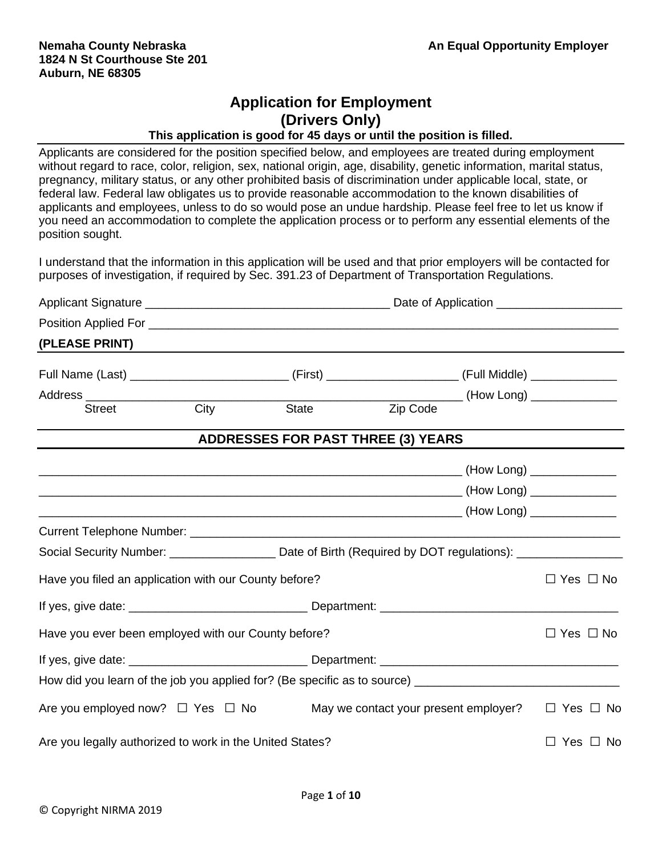# **Application for Employment (Drivers Only)**

#### **This application is good for 45 days or until the position is filled.**

Applicants are considered for the position specified below, and employees are treated during employment without regard to race, color, religion, sex, national origin, age, disability, genetic information, marital status, pregnancy, military status, or any other prohibited basis of discrimination under applicable local, state, or federal law. Federal law obligates us to provide reasonable accommodation to the known disabilities of applicants and employees, unless to do so would pose an undue hardship. Please feel free to let us know if you need an accommodation to complete the application process or to perform any essential elements of the position sought.

I understand that the information in this application will be used and that prior employers will be contacted for purposes of investigation, if required by Sec. 391.23 of Department of Transportation Regulations.

| (PLEASE PRINT)                                                                                             |             |              |                                           |  |                      |  |
|------------------------------------------------------------------------------------------------------------|-------------|--------------|-------------------------------------------|--|----------------------|--|
|                                                                                                            |             |              |                                           |  |                      |  |
|                                                                                                            |             |              |                                           |  |                      |  |
| Street                                                                                                     | <b>City</b> | <b>State</b> | Zip Code                                  |  |                      |  |
|                                                                                                            |             |              | <b>ADDRESSES FOR PAST THREE (3) YEARS</b> |  |                      |  |
|                                                                                                            |             |              |                                           |  |                      |  |
|                                                                                                            |             |              |                                           |  |                      |  |
|                                                                                                            |             |              |                                           |  |                      |  |
|                                                                                                            |             |              |                                           |  |                      |  |
| Social Security Number: _____________________ Date of Birth (Required by DOT regulations): _______________ |             |              |                                           |  |                      |  |
| Have you filed an application with our County before?                                                      |             |              |                                           |  | $\Box$ Yes $\Box$ No |  |
|                                                                                                            |             |              |                                           |  |                      |  |
| Have you ever been employed with our County before?                                                        |             |              |                                           |  | $\Box$ Yes $\Box$ No |  |
|                                                                                                            |             |              |                                           |  |                      |  |
|                                                                                                            |             |              |                                           |  |                      |  |
| Are you employed now? $\Box$ Yes $\Box$ No                                                                 |             |              | May we contact your present employer?     |  | $\Box$ Yes $\Box$ No |  |
| Are you legally authorized to work in the United States?                                                   |             |              |                                           |  | $\Box$ Yes $\Box$ No |  |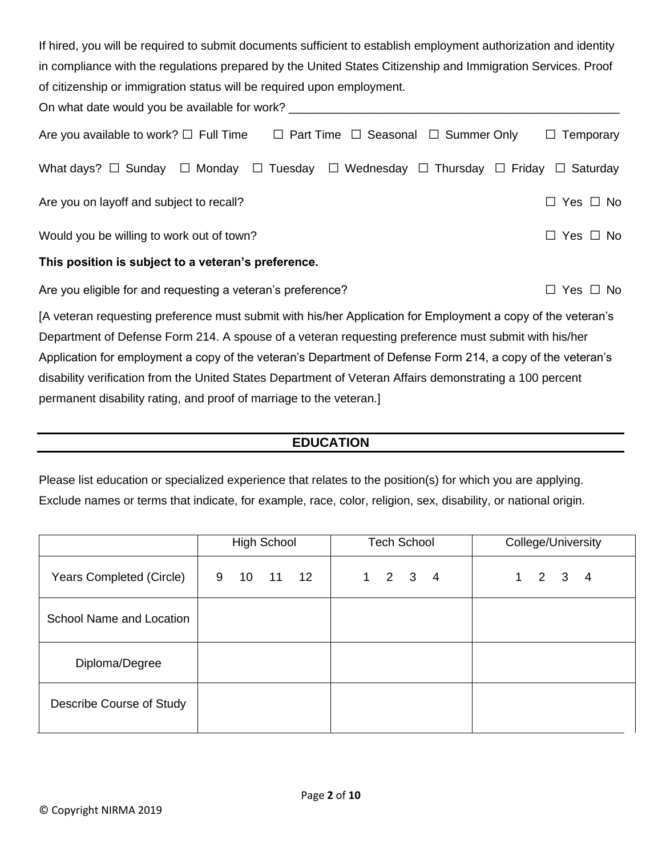| If hired, you will be required to submit documents sufficient to establish employment authorization and identity        |                         |
|-------------------------------------------------------------------------------------------------------------------------|-------------------------|
| in compliance with the regulations prepared by the United States Citizenship and Immigration Services. Proof            |                         |
| of citizenship or immigration status will be required upon employment.                                                  |                         |
| On what date would you be available for work? __________________________________                                        |                         |
| Are you available to work? $\square$ Full Time $\square$ Part Time $\square$ Seasonal $\square$ Summer Only             | Temporary<br>$\Box$     |
| What days? $\Box$ Sunday $\Box$ Monday<br>$\Box$ Tuesday $\Box$ Wednesday $\Box$ Thursday $\Box$ Friday $\Box$ Saturday |                         |
| Are you on layoff and subject to recall?                                                                                | Yes $\Box$ No<br>$\Box$ |
| Would you be willing to work out of town?                                                                               | $\Box$ Yes $\Box$ No    |
| This position is subject to a veteran's preference.                                                                     |                         |
| Are you eligible for and requesting a veteran's preference?                                                             | $\Box$ Yes $\Box$ No    |
| [A veteran requesting preference must submit with his/her Application for Employment a copy of the veteran's            |                         |
| Department of Defense Form 214. A spouse of a veteran requesting preference must submit with his/her                    |                         |
| Application for employment a copy of the veteran's Department of Defense Form 214, a copy of the veteran's              |                         |

disability verification from the United States Department of Veteran Affairs demonstrating a 100 percent permanent disability rating, and proof of marriage to the veteran.]

## **EDUCATION**

Please list education or specialized experience that relates to the position(s) for which you are applying. Exclude names or terms that indicate, for example, race, color, religion, sex, disability, or national origin.

|                          | <b>High School</b> | <b>Tech School</b>           | College/University  |
|--------------------------|--------------------|------------------------------|---------------------|
| Years Completed (Circle) | 9<br>10 11 12      | $1 -$<br>$2 \quad 3 \quad 4$ | $2 \quad 3 \quad 4$ |
| School Name and Location |                    |                              |                     |
| Diploma/Degree           |                    |                              |                     |
| Describe Course of Study |                    |                              |                     |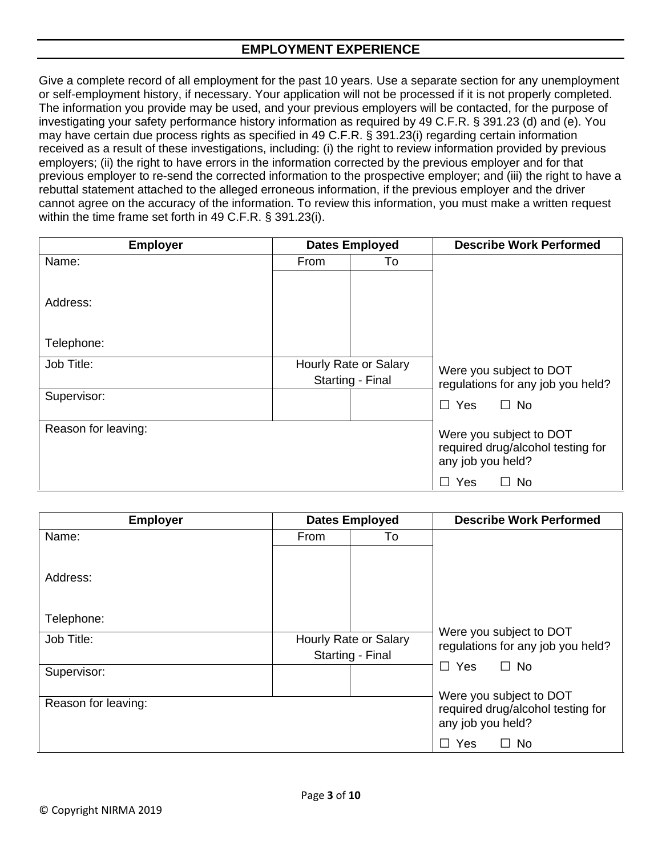### **EMPLOYMENT EXPERIENCE**

Give a complete record of all employment for the past 10 years. Use a separate section for any unemployment or self-employment history, if necessary. Your application will not be processed if it is not properly completed. The information you provide may be used, and your previous employers will be contacted, for the purpose of investigating your safety performance history information as required by 49 C.F.R. § 391.23 (d) and (e). You may have certain due process rights as specified in 49 C.F.R. § 391.23(i) regarding certain information received as a result of these investigations, including: (i) the right to review information provided by previous employers; (ii) the right to have errors in the information corrected by the previous employer and for that previous employer to re-send the corrected information to the prospective employer; and (iii) the right to have a rebuttal statement attached to the alleged erroneous information, if the previous employer and the driver cannot agree on the accuracy of the information. To review this information, you must make a written request within the time frame set forth in 49 C.F.R. § 391.23(i).

| <b>Employer</b>     |                       | <b>Dates Employed</b> | <b>Describe Work Performed</b>                         |  |
|---------------------|-----------------------|-----------------------|--------------------------------------------------------|--|
| Name:               | From                  | To                    |                                                        |  |
|                     |                       |                       |                                                        |  |
| Address:            |                       |                       |                                                        |  |
|                     |                       |                       |                                                        |  |
| Telephone:          |                       |                       |                                                        |  |
| Job Title:          | Hourly Rate or Salary |                       | Were you subject to DOT                                |  |
|                     |                       | Starting - Final      | regulations for any job you held?                      |  |
| Supervisor:         |                       |                       | $\Box$ No<br><b>Yes</b><br>$\Box$                      |  |
|                     |                       |                       |                                                        |  |
| Reason for leaving: |                       |                       | Were you subject to DOT                                |  |
|                     |                       |                       | required drug/alcohol testing for<br>any job you held? |  |
|                     |                       |                       | $\Box$ No<br>Yes                                       |  |

| <b>Employer</b>     |             | <b>Dates Employed</b> | <b>Describe Work Performed</b>                               |
|---------------------|-------------|-----------------------|--------------------------------------------------------------|
| Name:               | <b>From</b> | To                    |                                                              |
|                     |             |                       |                                                              |
| Address:            |             |                       |                                                              |
|                     |             |                       |                                                              |
|                     |             |                       |                                                              |
| Telephone:          |             |                       |                                                              |
| Job Title:          |             | Hourly Rate or Salary | Were you subject to DOT<br>regulations for any job you held? |
|                     |             | Starting - Final      |                                                              |
| Supervisor:         |             |                       | $\Box$ Yes<br>$\Box$ No                                      |
|                     |             |                       | Were you subject to DOT                                      |
| Reason for leaving: |             |                       | required drug/alcohol testing for                            |
|                     |             |                       | any job you held?                                            |
|                     |             |                       | Yes<br><b>No</b><br>$\mathcal{L}$                            |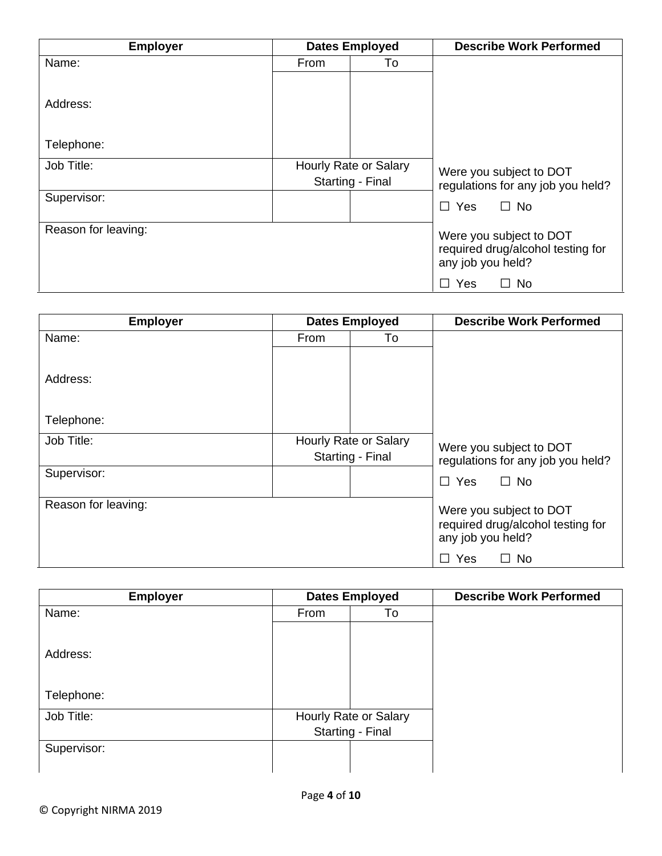| <b>Employer</b>     |                       | <b>Dates Employed</b> | <b>Describe Work Performed</b>                         |
|---------------------|-----------------------|-----------------------|--------------------------------------------------------|
| Name:               | From                  | To                    |                                                        |
|                     |                       |                       |                                                        |
| Address:            |                       |                       |                                                        |
|                     |                       |                       |                                                        |
| Telephone:          |                       |                       |                                                        |
| Job Title:          | Hourly Rate or Salary |                       | Were you subject to DOT                                |
|                     |                       | Starting - Final      | regulations for any job you held?                      |
| Supervisor:         |                       |                       | $\Box$ No<br>$\Box$ Yes                                |
|                     |                       |                       |                                                        |
| Reason for leaving: |                       |                       | Were you subject to DOT                                |
|                     |                       |                       | required drug/alcohol testing for<br>any job you held? |
|                     |                       |                       | Yes<br>$\Box$ No<br>$\mathsf{L}$                       |

| <b>Employer</b>     |                       | <b>Dates Employed</b> | <b>Describe Work Performed</b>    |  |
|---------------------|-----------------------|-----------------------|-----------------------------------|--|
| Name:               | From                  | To                    |                                   |  |
|                     |                       |                       |                                   |  |
| Address:            |                       |                       |                                   |  |
|                     |                       |                       |                                   |  |
| Telephone:          |                       |                       |                                   |  |
| Job Title:          | Hourly Rate or Salary |                       | Were you subject to DOT           |  |
|                     |                       | Starting - Final      | regulations for any job you held? |  |
| Supervisor:         |                       |                       | $\Box$ No<br>$\Box$ Yes           |  |
|                     |                       |                       |                                   |  |
| Reason for leaving: |                       |                       | Were you subject to DOT           |  |
|                     |                       |                       | required drug/alcohol testing for |  |
|                     |                       |                       | any job you held?                 |  |
|                     |                       |                       | Yes<br>$\Box$ No<br>$\perp$       |  |

| <b>Employer</b> |                  | <b>Dates Employed</b> | <b>Describe Work Performed</b> |
|-----------------|------------------|-----------------------|--------------------------------|
| Name:           | From             | To                    |                                |
|                 |                  |                       |                                |
| Address:        |                  |                       |                                |
|                 |                  |                       |                                |
| Telephone:      |                  |                       |                                |
| Job Title:      |                  | Hourly Rate or Salary |                                |
|                 | Starting - Final |                       |                                |
| Supervisor:     |                  |                       |                                |
|                 |                  |                       |                                |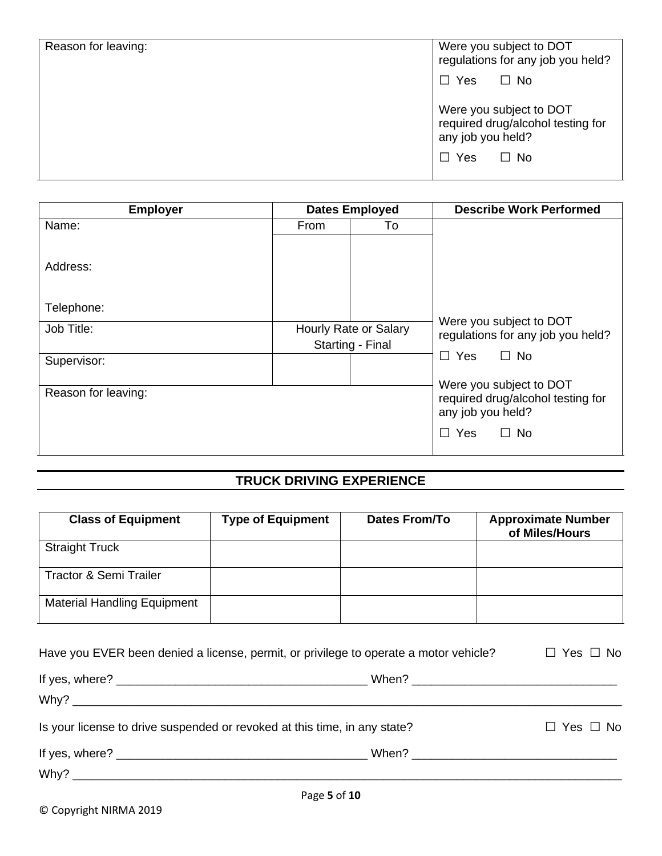| Reason for leaving: | Were you subject to DOT<br>regulations for any job you held?                      |
|---------------------|-----------------------------------------------------------------------------------|
|                     | $\Box$ Yes<br>$\Box$ No                                                           |
|                     | Were you subject to DOT<br>required drug/alcohol testing for<br>any job you held? |
|                     | Yes<br>$\Box$ No<br>$\Box$                                                        |

| <b>Employer</b>     |                       | <b>Dates Employed</b> | <b>Describe Work Performed</b>                               |  |
|---------------------|-----------------------|-----------------------|--------------------------------------------------------------|--|
| Name:               | From                  | To                    |                                                              |  |
|                     |                       |                       |                                                              |  |
| Address:            |                       |                       |                                                              |  |
|                     |                       |                       |                                                              |  |
| Telephone:          |                       |                       |                                                              |  |
| Job Title:          | Hourly Rate or Salary |                       | Were you subject to DOT<br>regulations for any job you held? |  |
|                     |                       | Starting - Final      |                                                              |  |
| Supervisor:         |                       |                       | $\Box$ Yes<br>$\Box$ No                                      |  |
|                     |                       |                       | Were you subject to DOT                                      |  |
| Reason for leaving: |                       |                       | required drug/alcohol testing for                            |  |
|                     |                       |                       | any job you held?                                            |  |
|                     |                       |                       | $\Box$ Yes<br>$\Box$ No                                      |  |
|                     |                       |                       |                                                              |  |

# **TRUCK DRIVING EXPERIENCE**

| <b>Class of Equipment</b>          | <b>Type of Equipment</b> | Dates From/To | <b>Approximate Number</b><br>of Miles/Hours |
|------------------------------------|--------------------------|---------------|---------------------------------------------|
| <b>Straight Truck</b>              |                          |               |                                             |
| <b>Tractor &amp; Semi Trailer</b>  |                          |               |                                             |
| <b>Material Handling Equipment</b> |                          |               |                                             |

| Have you EVER been denied a license, permit, or privilege to operate a motor vehicle? |  | $\Box$ Yes $\Box$ No |  |
|---------------------------------------------------------------------------------------|--|----------------------|--|
|                                                                                       |  |                      |  |
| Is your license to drive suspended or revoked at this time, in any state?             |  | $\Box$ Yes $\Box$ No |  |
|                                                                                       |  |                      |  |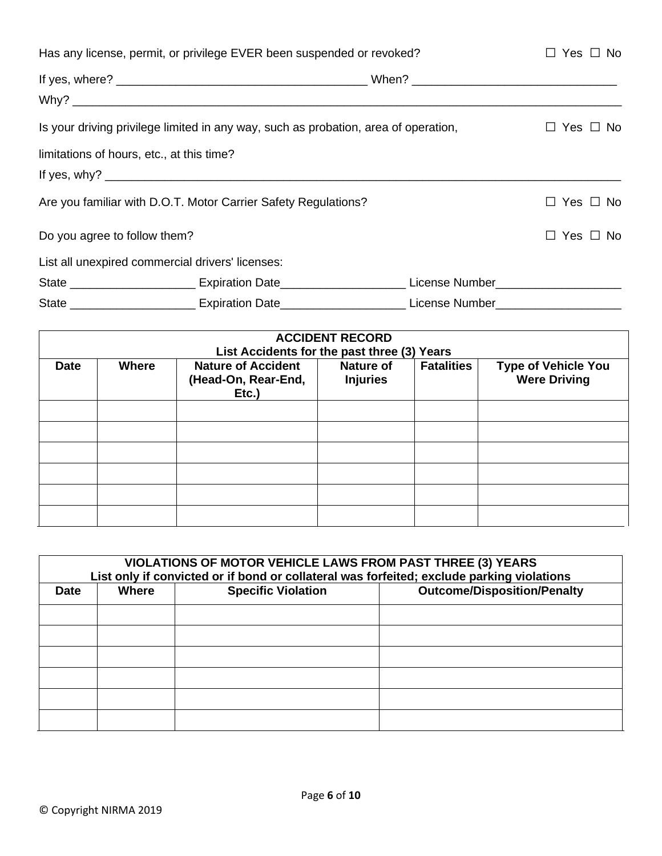| Has any license, permit, or privilege EVER been suspended or revoked?               | $\Box$ Yes $\Box$ No                                                                                           |  |  |
|-------------------------------------------------------------------------------------|----------------------------------------------------------------------------------------------------------------|--|--|
|                                                                                     |                                                                                                                |  |  |
|                                                                                     |                                                                                                                |  |  |
| Is your driving privilege limited in any way, such as probation, area of operation, | $\Box$ Yes $\Box$ No                                                                                           |  |  |
| limitations of hours, etc., at this time?                                           |                                                                                                                |  |  |
|                                                                                     |                                                                                                                |  |  |
| Are you familiar with D.O.T. Motor Carrier Safety Regulations?                      | $\Box$ Yes $\Box$ No                                                                                           |  |  |
| Do you agree to follow them?                                                        | $\Box$ Yes $\Box$ No                                                                                           |  |  |
|                                                                                     | List all unexpired commercial drivers' licenses:                                                               |  |  |
|                                                                                     | State ___________________________ Expiration Date__________________________License Number_____________________ |  |  |
|                                                                                     | State ____________________________ Expiration Date__________________________License Number____________________ |  |  |

| <b>ACCIDENT RECORD</b><br>List Accidents for the past three (3) Years |              |                                                           |                              |                   |                                                   |  |  |
|-----------------------------------------------------------------------|--------------|-----------------------------------------------------------|------------------------------|-------------------|---------------------------------------------------|--|--|
| <b>Date</b>                                                           | <b>Where</b> | <b>Nature of Accident</b><br>(Head-On, Rear-End,<br>Etc.) | Nature of<br><b>Injuries</b> | <b>Fatalities</b> | <b>Type of Vehicle You</b><br><b>Were Driving</b> |  |  |
|                                                                       |              |                                                           |                              |                   |                                                   |  |  |
|                                                                       |              |                                                           |                              |                   |                                                   |  |  |
|                                                                       |              |                                                           |                              |                   |                                                   |  |  |
|                                                                       |              |                                                           |                              |                   |                                                   |  |  |
|                                                                       |              |                                                           |                              |                   |                                                   |  |  |
|                                                                       |              |                                                           |                              |                   |                                                   |  |  |

| VIOLATIONS OF MOTOR VEHICLE LAWS FROM PAST THREE (3) YEARS<br>List only if convicted or if bond or collateral was forfeited; exclude parking violations |       |                           |                                    |  |  |
|---------------------------------------------------------------------------------------------------------------------------------------------------------|-------|---------------------------|------------------------------------|--|--|
| <b>Date</b>                                                                                                                                             | Where | <b>Specific Violation</b> | <b>Outcome/Disposition/Penalty</b> |  |  |
|                                                                                                                                                         |       |                           |                                    |  |  |
|                                                                                                                                                         |       |                           |                                    |  |  |
|                                                                                                                                                         |       |                           |                                    |  |  |
|                                                                                                                                                         |       |                           |                                    |  |  |
|                                                                                                                                                         |       |                           |                                    |  |  |
|                                                                                                                                                         |       |                           |                                    |  |  |
|                                                                                                                                                         |       |                           |                                    |  |  |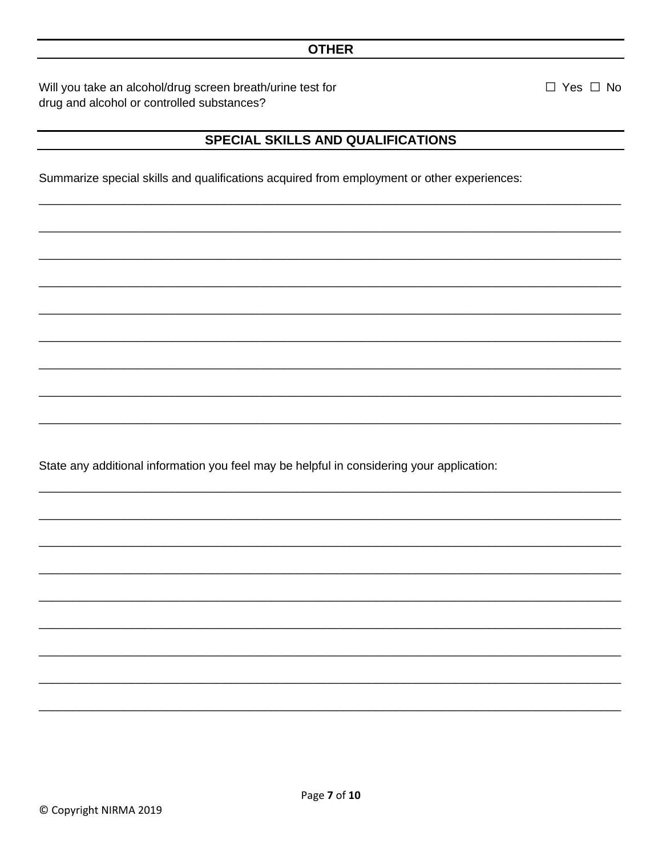#### **OTHER**

Will you take an alcohol/drug screen breath/urine test for drug and alcohol or controlled substances?

### SPECIAL SKILLS AND QUALIFICATIONS

Summarize special skills and qualifications acquired from employment or other experiences:

State any additional information you feel may be helpful in considering your application:

 $\Box$  Yes  $\Box$  No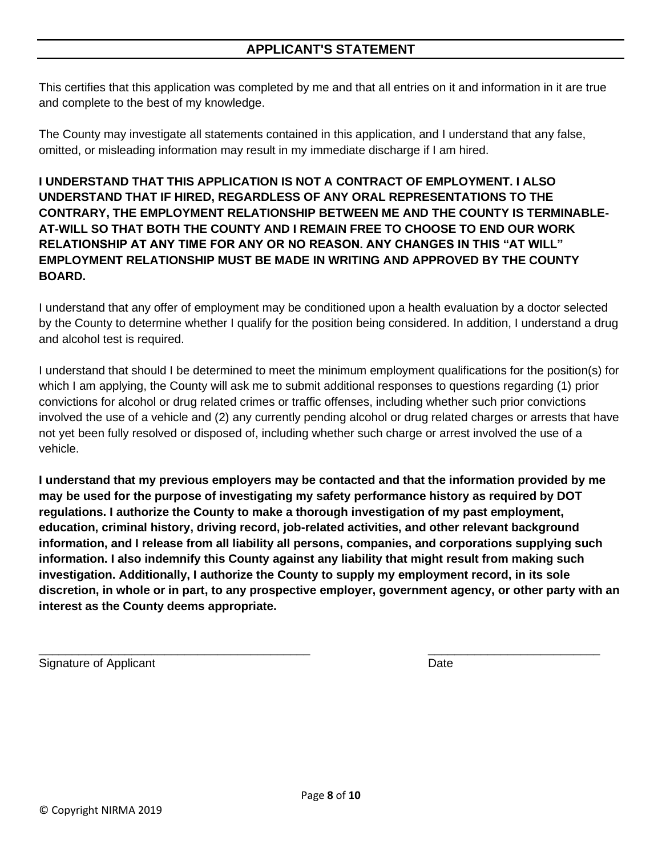This certifies that this application was completed by me and that all entries on it and information in it are true and complete to the best of my knowledge.

The County may investigate all statements contained in this application, and I understand that any false, omitted, or misleading information may result in my immediate discharge if I am hired.

**I UNDERSTAND THAT THIS APPLICATION IS NOT A CONTRACT OF EMPLOYMENT. I ALSO UNDERSTAND THAT IF HIRED, REGARDLESS OF ANY ORAL REPRESENTATIONS TO THE CONTRARY, THE EMPLOYMENT RELATIONSHIP BETWEEN ME AND THE COUNTY IS TERMINABLE-AT-WILL SO THAT BOTH THE COUNTY AND I REMAIN FREE TO CHOOSE TO END OUR WORK RELATIONSHIP AT ANY TIME FOR ANY OR NO REASON. ANY CHANGES IN THIS "AT WILL" EMPLOYMENT RELATIONSHIP MUST BE MADE IN WRITING AND APPROVED BY THE COUNTY BOARD.** 

I understand that any offer of employment may be conditioned upon a health evaluation by a doctor selected by the County to determine whether I qualify for the position being considered. In addition, I understand a drug and alcohol test is required.

I understand that should I be determined to meet the minimum employment qualifications for the position(s) for which I am applying, the County will ask me to submit additional responses to questions regarding (1) prior convictions for alcohol or drug related crimes or traffic offenses, including whether such prior convictions involved the use of a vehicle and (2) any currently pending alcohol or drug related charges or arrests that have not yet been fully resolved or disposed of, including whether such charge or arrest involved the use of a vehicle.

**I understand that my previous employers may be contacted and that the information provided by me may be used for the purpose of investigating my safety performance history as required by DOT regulations. I authorize the County to make a thorough investigation of my past employment, education, criminal history, driving record, job-related activities, and other relevant background information, and I release from all liability all persons, companies, and corporations supplying such information. I also indemnify this County against any liability that might result from making such investigation. Additionally, I authorize the County to supply my employment record, in its sole discretion, in whole or in part, to any prospective employer, government agency, or other party with an interest as the County deems appropriate.** 

Signature of Applicant Date Date Control of Applicant Date Date Date Date Date Date

\_\_\_\_\_\_\_\_\_\_\_\_\_\_\_\_\_\_\_\_\_\_\_\_\_\_\_\_\_\_\_\_\_\_\_\_\_\_\_\_\_ \_\_\_\_\_\_\_\_\_\_\_\_\_\_\_\_\_\_\_\_\_\_\_\_\_\_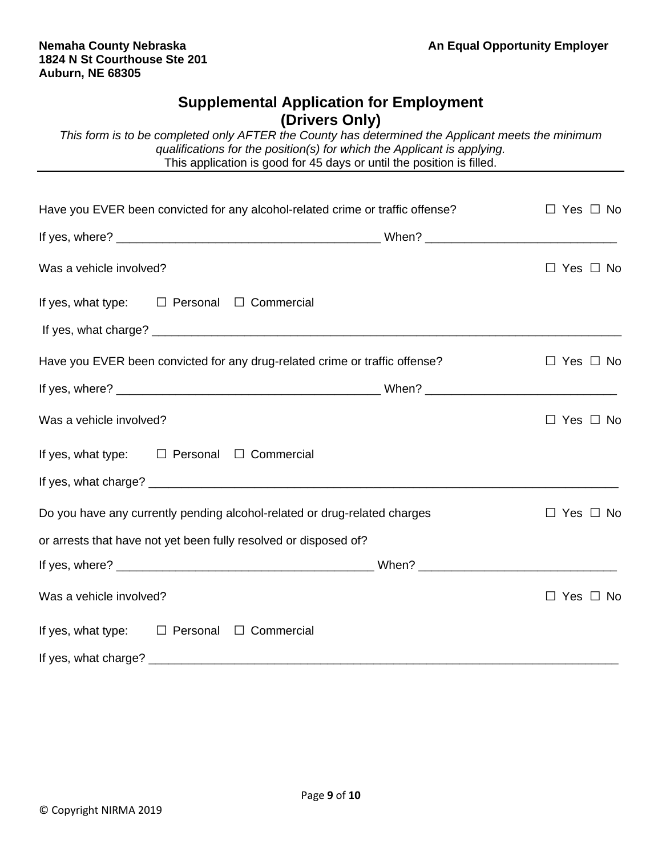## **Supplemental Application for Employment (Drivers Only)**

*This form is to be completed only AFTER the County has determined the Applicant meets the minimum qualifications for the position(s) for which the Applicant is applying.* This application is good for 45 days or until the position is filled.

| Have you EVER been convicted for any alcohol-related crime or traffic offense? | $\Box$ Yes $\Box$ No |
|--------------------------------------------------------------------------------|----------------------|
|                                                                                |                      |
| Was a vehicle involved?                                                        | $\Box$ Yes $\Box$ No |
| If yes, what type: $\square$ Personal $\square$ Commercial                     |                      |
|                                                                                |                      |
| Have you EVER been convicted for any drug-related crime or traffic offense?    | $\Box$ Yes $\Box$ No |
|                                                                                |                      |
| Was a vehicle involved?                                                        | $\Box$ Yes $\Box$ No |
| If yes, what type: $\square$ Personal $\square$ Commercial                     |                      |
|                                                                                |                      |
| Do you have any currently pending alcohol-related or drug-related charges      | $\Box$ Yes $\Box$ No |
| or arrests that have not yet been fully resolved or disposed of?               |                      |
|                                                                                |                      |
| Was a vehicle involved?                                                        | $\Box$ Yes $\Box$ No |
| If yes, what type: $\square$ Personal $\square$ Commercial                     |                      |
|                                                                                |                      |